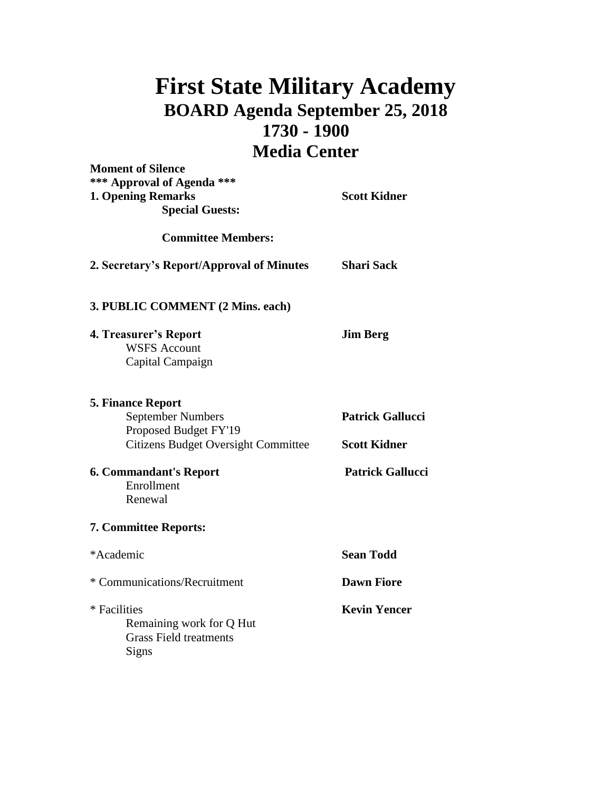## **First State Military Academy BOARD Agenda September 25, 2018 1730 - 1900 Media Center**

| <b>Moment of Silence</b><br>*** Approval of Agenda *** |                         |
|--------------------------------------------------------|-------------------------|
|                                                        |                         |
| <b>Special Guests:</b>                                 |                         |
| <b>Committee Members:</b>                              |                         |
| 2. Secretary's Report/Approval of Minutes              | <b>Shari Sack</b>       |
| 3. PUBLIC COMMENT (2 Mins. each)                       |                         |
| 4. Treasurer's Report                                  | <b>Jim Berg</b>         |
| <b>WSFS Account</b>                                    |                         |
| Capital Campaign                                       |                         |
| <b>5. Finance Report</b>                               |                         |
| <b>September Numbers</b>                               | <b>Patrick Gallucci</b> |
| Proposed Budget FY'19                                  |                         |
| <b>Citizens Budget Oversight Committee</b>             | <b>Scott Kidner</b>     |
| <b>6. Commandant's Report</b>                          | <b>Patrick Gallucci</b> |
| Enrollment                                             |                         |
| Renewal                                                |                         |
| <b>7. Committee Reports:</b>                           |                         |
| *Academic                                              | <b>Sean Todd</b>        |
| * Communications/Recruitment                           | <b>Dawn Fiore</b>       |
| * Facilities                                           | <b>Kevin Yencer</b>     |
| Remaining work for Q Hut                               |                         |
| <b>Grass Field treatments</b>                          |                         |
| Signs                                                  |                         |